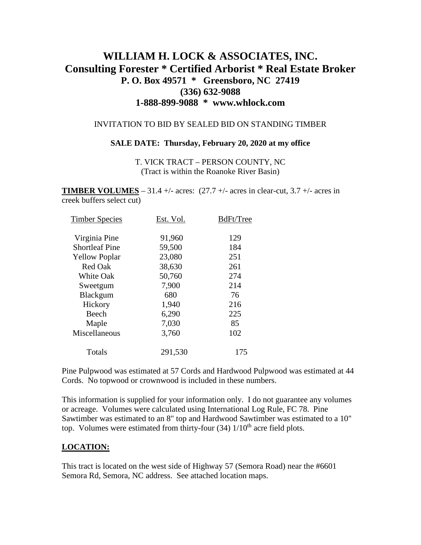# **WILLIAM H. LOCK & ASSOCIATES, INC. Consulting Forester \* Certified Arborist \* Real Estate Broker P. O. Box 49571 \* Greensboro, NC 27419 (336) 632-9088 1-888-899-9088 \* www.whlock.com**

#### INVITATION TO BID BY SEALED BID ON STANDING TIMBER

#### **SALE DATE: Thursday, February 20, 2020 at my office**

T. VICK TRACT – PERSON COUNTY, NC (Tract is within the Roanoke River Basin)

**TIMBER VOLUMES** – 31.4 +/- acres:  $(27.7 +/- 4)$  acres in clear-cut, 3.7 +/- acres in creek buffers select cut)

| <b>Timber Species</b> | Est. Vol. | BdFt/Tree |
|-----------------------|-----------|-----------|
| Virginia Pine         | 91,960    | 129       |
| <b>Shortleaf Pine</b> | 59,500    | 184       |
| <b>Yellow Poplar</b>  | 23,080    | 251       |
| <b>Red Oak</b>        | 38,630    | 261       |
| <b>White Oak</b>      | 50,760    | 274       |
| Sweetgum              | 7,900     | 214       |
| Blackgum              | 680       | 76        |
| Hickory               | 1,940     | 216       |
| Beech                 | 6,290     | 225       |
| Maple                 | 7,030     | 85        |
| Miscellaneous         | 3,760     | 102       |
| Totals                | 291,530   | 175       |

Pine Pulpwood was estimated at 57 Cords and Hardwood Pulpwood was estimated at 44 Cords. No topwood or crownwood is included in these numbers.

This information is supplied for your information only. I do not guarantee any volumes or acreage. Volumes were calculated using International Log Rule, FC 78. Pine Sawtimber was estimated to an 8" top and Hardwood Sawtimber was estimated to a 10" top. Volumes were estimated from thirty-four  $(34)$  1/10<sup>th</sup> acre field plots.

#### **LOCATION:**

This tract is located on the west side of Highway 57 (Semora Road) near the #6601 Semora Rd, Semora, NC address. See attached location maps.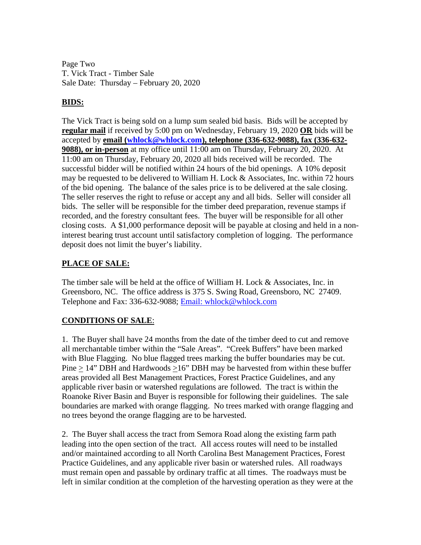Page Two T. Vick Tract - Timber Sale Sale Date: Thursday – February 20, 2020

### **BIDS:**

The Vick Tract is being sold on a lump sum sealed bid basis. Bids will be accepted by **regular mail** if received by 5:00 pm on Wednesday, February 19, 2020 **OR** bids will be accepted by **email [\(whlock@whlock.com\)](mailto:whlock@whlock.com), telephone (336-632-9088), fax (336-632- 9088), or in-person** at my office until 11:00 am on Thursday, February 20, 2020. At 11:00 am on Thursday, February 20, 2020 all bids received will be recorded. The successful bidder will be notified within 24 hours of the bid openings. A 10% deposit may be requested to be delivered to William H. Lock & Associates, Inc. within 72 hours of the bid opening. The balance of the sales price is to be delivered at the sale closing. The seller reserves the right to refuse or accept any and all bids. Seller will consider all bids. The seller will be responsible for the timber deed preparation, revenue stamps if recorded, and the forestry consultant fees. The buyer will be responsible for all other closing costs. A \$1,000 performance deposit will be payable at closing and held in a noninterest bearing trust account until satisfactory completion of logging. The performance deposit does not limit the buyer's liability.

### **PLACE OF SALE:**

The timber sale will be held at the office of William H. Lock & Associates, Inc. in Greensboro, NC. The office address is 375 S. Swing Road, Greensboro, NC 27409. Telephone and Fax: 336-632-9088; [Email: whlock@whlock.com](mailto:Email:%20whlock@whlock.com) 

## **CONDITIONS OF SALE**:

1. The Buyer shall have 24 months from the date of the timber deed to cut and remove all merchantable timber within the "Sale Areas". "Creek Buffers" have been marked with Blue Flagging. No blue flagged trees marking the buffer boundaries may be cut. Pine  $> 14$ " DBH and Hardwoods  $> 16$ " DBH may be harvested from within these buffer areas provided all Best Management Practices, Forest Practice Guidelines, and any applicable river basin or watershed regulations are followed. The tract is within the Roanoke River Basin and Buyer is responsible for following their guidelines. The sale boundaries are marked with orange flagging. No trees marked with orange flagging and no trees beyond the orange flagging are to be harvested.

2. The Buyer shall access the tract from Semora Road along the existing farm path leading into the open section of the tract. All access routes will need to be installed and/or maintained according to all North Carolina Best Management Practices, Forest Practice Guidelines, and any applicable river basin or watershed rules. All roadways must remain open and passable by ordinary traffic at all times. The roadways must be left in similar condition at the completion of the harvesting operation as they were at the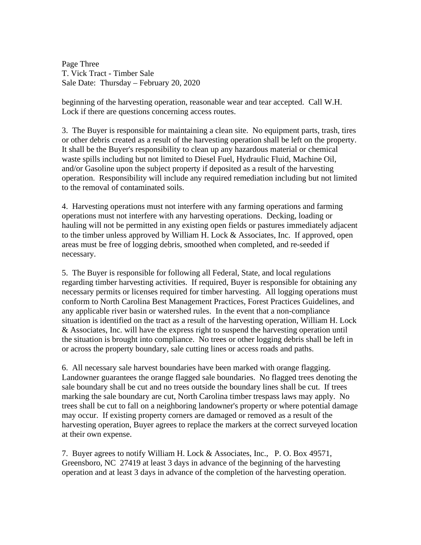Page Three T. Vick Tract - Timber Sale Sale Date: Thursday – February 20, 2020

beginning of the harvesting operation, reasonable wear and tear accepted. Call W.H. Lock if there are questions concerning access routes.

3. The Buyer is responsible for maintaining a clean site. No equipment parts, trash, tires or other debris created as a result of the harvesting operation shall be left on the property. It shall be the Buyer's responsibility to clean up any hazardous material or chemical waste spills including but not limited to Diesel Fuel, Hydraulic Fluid, Machine Oil, and/or Gasoline upon the subject property if deposited as a result of the harvesting operation. Responsibility will include any required remediation including but not limited to the removal of contaminated soils.

4. Harvesting operations must not interfere with any farming operations and farming operations must not interfere with any harvesting operations. Decking, loading or hauling will not be permitted in any existing open fields or pastures immediately adjacent to the timber unless approved by William H. Lock & Associates, Inc. If approved, open areas must be free of logging debris, smoothed when completed, and re-seeded if necessary.

5. The Buyer is responsible for following all Federal, State, and local regulations regarding timber harvesting activities. If required, Buyer is responsible for obtaining any necessary permits or licenses required for timber harvesting. All logging operations must conform to North Carolina Best Management Practices, Forest Practices Guidelines, and any applicable river basin or watershed rules. In the event that a non-compliance situation is identified on the tract as a result of the harvesting operation, William H. Lock & Associates, Inc. will have the express right to suspend the harvesting operation until the situation is brought into compliance. No trees or other logging debris shall be left in or across the property boundary, sale cutting lines or access roads and paths.

6. All necessary sale harvest boundaries have been marked with orange flagging. Landowner guarantees the orange flagged sale boundaries. No flagged trees denoting the sale boundary shall be cut and no trees outside the boundary lines shall be cut. If trees marking the sale boundary are cut, North Carolina timber trespass laws may apply. No trees shall be cut to fall on a neighboring landowner's property or where potential damage may occur. If existing property corners are damaged or removed as a result of the harvesting operation, Buyer agrees to replace the markers at the correct surveyed location at their own expense.

7. Buyer agrees to notify William H. Lock & Associates, Inc., P. O. Box 49571, Greensboro, NC 27419 at least 3 days in advance of the beginning of the harvesting operation and at least 3 days in advance of the completion of the harvesting operation.